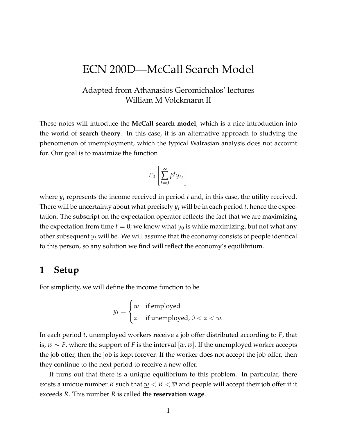# ECN 200D—McCall Search Model

### Adapted from Athanasios Geromichalos' lectures William M Volckmann II

These notes will introduce the **McCall search model**, which is a nice introduction into the world of **search theory**. In this case, it is an alternative approach to studying the phenomenon of unemployment, which the typical Walrasian analysis does not account for. Our goal is to maximize the function

$$
E_0\left[\sum_{t=0}^{\infty}\beta^t y_t\right]
$$

where *y<sup>t</sup>* represents the income received in period *t* and, in this case, the utility received. There will be uncertainty about what precisely *y<sup>t</sup>* will be in each period *t*, hence the expectation. The subscript on the expectation operator reflects the fact that we are maximizing the expectation from time  $t = 0$ ; we know what  $y_0$  is while maximizing, but not what any other subsequent *y<sup>t</sup>* will be. We will assume that the economy consists of people identical to this person, so any solution we find will reflect the economy's equilibrium.

### **1 Setup**

For simplicity, we will define the income function to be

$$
y_t = \begin{cases} w & \text{if employed} \\ z & \text{if unemployed, } 0 < z < \overline{w}. \end{cases}
$$

In each period *t*, unemployed workers receive a job offer distributed according to *F*, that is, *w* ∼ *F*, where the support of *F* is the interval [*w*, *w*]. If the unemployed worker accepts the job offer, then the job is kept forever. If the worker does not accept the job offer, then they continue to the next period to receive a new offer.

It turns out that there is a unique equilibrium to this problem. In particular, there exists a unique number *R* such that  $w < R < \overline{w}$  and people will accept their job offer if it exceeds *R*. This number *R* is called the **reservation wage**.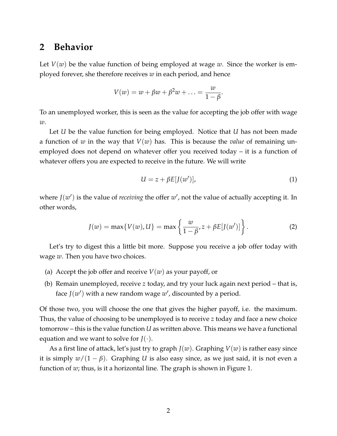## **2 Behavior**

Let  $V(w)$  be the value function of being employed at wage  $w$ . Since the worker is employed forever, she therefore receives *w* in each period, and hence

$$
V(w) = w + \beta w + \beta^2 w + \ldots = \frac{w}{1 - \beta}
$$

To an unemployed worker, this is seen as the value for accepting the job offer with wage *w*.

Let *U* be the value function for being employed. Notice that *U* has not been made a function of *w* in the way that *V*(*w*) has. This is because the *value* of remaining unemployed does not depend on whatever offer you received today – it is a function of whatever offers you are expected to receive in the future. We will write

$$
U = z + \beta E[J(w')], \tag{1}
$$

.

where  $J(w')$  is the value of *receiving* the offer  $w'$ , not the value of actually accepting it. In other words,

$$
J(w) = \max\{V(w), U\} = \max\left\{\frac{w}{1 - \beta}, z + \beta E[J(w')] \right\}.
$$
 (2)

Let's try to digest this a little bit more. Suppose you receive a job offer today with wage *w*. Then you have two choices.

- (a) Accept the job offer and receive  $V(w)$  as your payoff, or
- (b) Remain unemployed, receive *z* today, and try your luck again next period that is, face  $J(w')$  with a new random wage  $w'$ , discounted by a period.

Of those two, you will choose the one that gives the higher payoff, i.e. the maximum. Thus, the value of choosing to be unemployed is to receive *z* today and face a new choice tomorrow – this is the value function *U* as written above. This means we have a functional equation and we want to solve for  $J(\cdot)$ .

As a first line of attack, let's just try to graph *J*(*w*). Graphing *V*(*w*) is rather easy since it is simply  $w/(1 - \beta)$ . Graphing *U* is also easy since, as we just said, it is not even a function of *w*; thus, is it a horizontal line. The graph is shown in Figure 1.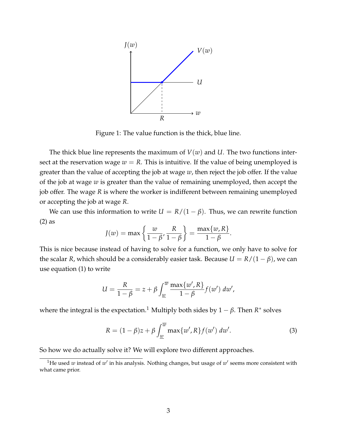

Figure 1: The value function is the thick, blue line.

The thick blue line represents the maximum of  $V(w)$  and  $U$ . The two functions intersect at the reservation wage  $w = R$ . This is intuitive. If the value of being unemployed is greater than the value of accepting the job at wage *w*, then reject the job offer. If the value of the job at wage *w* is greater than the value of remaining unemployed, then accept the job offer. The wage *R* is where the worker is indifferent between remaining unemployed or accepting the job at wage *R*.

We can use this information to write  $U = R/(1 - \beta)$ . Thus, we can rewrite function (2) as

$$
J(w) = \max\left\{\frac{w}{1-\beta}, \frac{R}{1-\beta}\right\} = \frac{\max\{w, R\}}{1-\beta}.
$$

This is nice because instead of having to solve for a function, we only have to solve for the scalar *R*, which should be a considerably easier task. Because  $U = R/(1 - \beta)$ , we can use equation (1) to write

$$
U = \frac{R}{1-\beta} = z + \beta \int_{\underline{w}}^{\overline{w}} \frac{\max\{w', R\}}{1-\beta} f(w') \ dw',
$$

where the integral is the expectation.<sup>1</sup> Multiply both sides by  $1-\beta$ . Then  $R^*$  solves

$$
R = (1 - \beta)z + \beta \int_{\underline{w}}^{\overline{w}} \max\{w', R\} f(w') \, dw'.
$$
 (3)

So how we do actually solve it? We will explore two different approaches.

<sup>&</sup>lt;sup>1</sup>He used *w* instead of  $w'$  in his analysis. Nothing changes, but usage of  $w'$  seems more consistent with what came prior.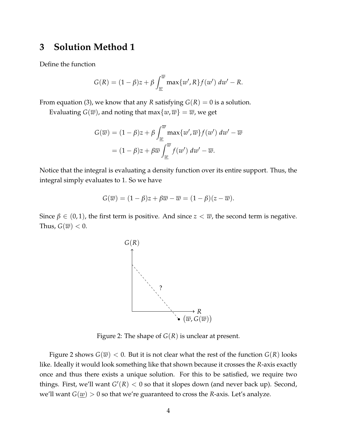## **3 Solution Method 1**

Define the function

$$
G(R) = (1 - \beta)z + \beta \int_{\underline{w}}^{\overline{w}} \max\{w', R\} f(w') \, dw' - R.
$$

From equation (3), we know that any *R* satisfying  $G(R) = 0$  is a solution.

Evaluating  $G(\overline{w})$ , and noting that max $\{w,\overline{w}\} = \overline{w}$ , we get

$$
G(\overline{w}) = (1 - \beta)z + \beta \int_{\underline{w}}^{\overline{w}} \max\{w', \overline{w}\} f(w') \, dw' - \overline{w}
$$

$$
= (1 - \beta)z + \beta \overline{w} \int_{\underline{w}}^{\overline{w}} f(w') \, dw' - \overline{w}.
$$

Notice that the integral is evaluating a density function over its entire support. Thus, the integral simply evaluates to 1. So we have

$$
G(\overline{w}) = (1 - \beta)z + \beta \overline{w} - \overline{w} = (1 - \beta)(z - \overline{w}).
$$

Since  $\beta \in (0,1)$ , the first term is positive. And since  $z < \overline{w}$ , the second term is negative. Thus,  $G(\overline{w}) < 0$ .



Figure 2: The shape of  $G(R)$  is unclear at present.

Figure 2 shows  $G(\overline{w}) < 0$ . But it is not clear what the rest of the function  $G(R)$  looks like. Ideally it would look something like that shown because it crosses the *R*-axis exactly once and thus there exists a unique solution. For this to be satisfied, we require two things. First, we'll want *G* ′ (*R*) < 0 so that it slopes down (and never back up). Second, we'll want  $G(\underline{w}) > 0$  so that we're guaranteed to cross the *R*-axis. Let's analyze.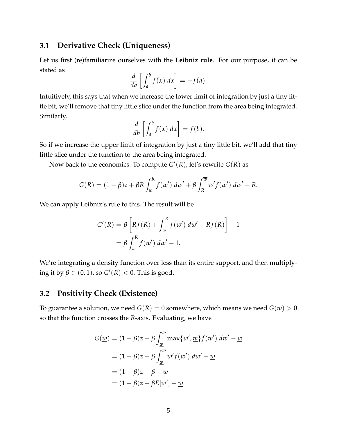#### **3.1 Derivative Check (Uniqueness)**

Let us first (re)familiarize ourselves with the **Leibniz rule**. For our purpose, it can be stated as

$$
\frac{d}{da}\left[\int_a^b f(x) \ dx\right] = -f(a).
$$

Intuitively, this says that when we increase the lower limit of integration by just a tiny little bit, we'll remove that tiny little slice under the function from the area being integrated. Similarly,

$$
\frac{d}{db} \left[ \int_a^b f(x) \ dx \right] = f(b).
$$

So if we increase the upper limit of integration by just a tiny little bit, we'll add that tiny little slice under the function to the area being integrated.

Now back to the economics. To compute *G* ′ (*R*), let's rewrite *G*(*R*) as

$$
G(R) = (1 - \beta)z + \beta R \int_{\underline{w}}^{R} f(w') \, dw' + \beta \int_{R}^{\overline{w}} w' f(w') \, dw' - R.
$$

We can apply Leibniz's rule to this. The result will be

$$
G'(R) = \beta \left[ Rf(R) + \int_{\underline{w}}^{R} f(w') \, dw' - Rf(R) \right] - 1
$$

$$
= \beta \int_{\underline{w}}^{R} f(w') \, dw' - 1.
$$

We're integrating a density function over less than its entire support, and then multiplying it by  $\beta \in (0, 1)$ , so  $G'(R) < 0$ . This is good.

#### **3.2 Positivity Check (Existence)**

To guarantee a solution, we need  $G(R) = 0$  somewhere, which means we need  $G(\underline{w}) > 0$ so that the function crosses the *R*-axis. Evaluating, we have

$$
G(\underline{w}) = (1 - \beta)z + \beta \int_{\underline{w}}^{\overline{w}} \max\{w', \underline{w}\} f(w') \, dw' - \underline{w}
$$

$$
= (1 - \beta)z + \beta \int_{\underline{w}}^{\overline{w}} w' f(w') \, dw' - \underline{w}
$$

$$
= (1 - \beta)z + \beta - \underline{w}
$$

$$
= (1 - \beta)z + \beta E[w'] - \underline{w}.
$$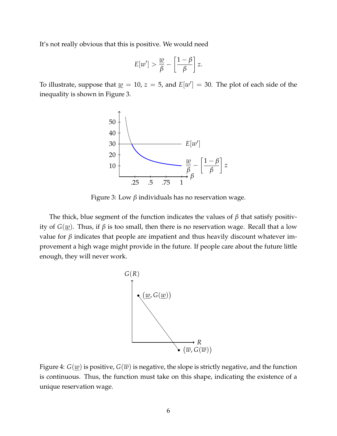It's not really obvious that this is positive. We would need

$$
E[w'] > \frac{w}{\beta} - \left[\frac{1-\beta}{\beta}\right]z.
$$

To illustrate, suppose that  $\underline{w} = 10$ ,  $z = 5$ , and  $E[w'] = 30$ . The plot of each side of the inequality is shown in Figure 3.



Figure 3: Low *β* individuals has no reservation wage.

The thick, blue segment of the function indicates the values of *β* that satisfy positivity of  $G(\underline{w})$ . Thus, if  $\beta$  is too small, then there is no reservation wage. Recall that a low value for  $β$  indicates that people are impatient and thus heavily discount whatever improvement a high wage might provide in the future. If people care about the future little enough, they will never work.



Figure 4:  $G(\underline{w})$  is positive,  $G(\overline{w})$  is negative, the slope is strictly negative, and the function is continuous. Thus, the function must take on this shape, indicating the existence of a unique reservation wage.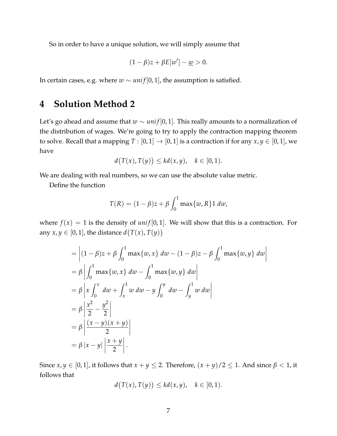So in order to have a unique solution, we will simply assume that

$$
(1 - \beta)z + \beta E[w'] - \underline{w} > 0.
$$

In certain cases, e.g. where  $w \sim \text{uniform}(0, 1)$ , the assumption is satisfied.

## **4 Solution Method 2**

Let's go ahead and assume that *w* ∼ *uni f* [0, 1]. This really amounts to a normalization of the distribution of wages. We're going to try to apply the contraction mapping theorem to solve. Recall that a mapping  $T : [0, 1] \rightarrow [0, 1]$  is a contraction if for any  $x, y \in [0, 1]$ , we have

$$
d(T(x), T(y)) \leq kd(x, y), \quad k \in [0, 1).
$$

We are dealing with real numbers, so we can use the absolute value metric.

Define the function

$$
T(R) = (1 - \beta)z + \beta \int_0^1 \max\{w, R\} \, \mathrm{d}w,
$$

where  $f(x) = 1$  is the density of *unif* [0, 1]. We will show that this is a contraction. For any  $x, y \in [0, 1]$ , the distance  $d(T(x), T(y))$ 

$$
= \left| (1 - \beta)z + \beta \int_0^1 \max\{w, x\} dw - (1 - \beta)z - \beta \int_0^1 \max\{w, y\} dw \right|
$$
  
=  $\beta \left| \int_0^1 \max\{w, x\} dw - \int_0^1 \max\{w, y\} dw \right|$   
=  $\beta \left| x \int_0^x dw + \int_x^1 w dw - y \int_0^y dw - \int_y^1 w dw \right|$   
=  $\beta \left| \frac{x^2}{2} - \frac{y^2}{2} \right|$   
=  $\beta \left| \frac{(x - y)(x + y)}{2} \right|$   
=  $\beta |x - y| \left| \frac{x + y}{2} \right|$ .

Since  $x, y \in [0, 1]$ , it follows that  $x + y \le 2$ . Therefore,  $(x + y)/2 \le 1$ . And since  $\beta < 1$ , it follows that

$$
d(T(x), T(y)) \leq kd(x, y), \quad k \in [0, 1).
$$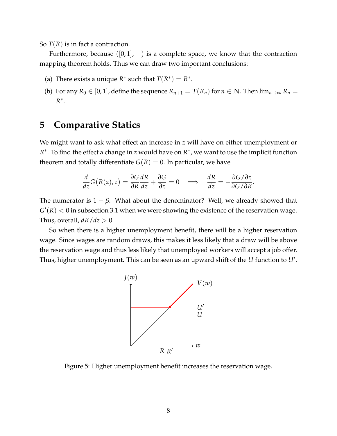So *T*(*R*) is in fact a contraction.

Furthermore, because  $([0,1], |\cdot|)$  is a complete space, we know that the contraction mapping theorem holds. Thus we can draw two important conclusions:

- (a) There exists a unique  $R^*$  such that  $T(R^*) = R^*$ .
- (b) For any  $R_0 \in [0, 1]$ , define the sequence  $R_{n+1} = T(R_n)$  for  $n \in \mathbb{N}$ . Then  $\lim_{n \to \infty} R_n =$ *R* ∗ .

# **5 Comparative Statics**

We might want to ask what effect an increase in *z* will have on either unemployment or *R* ∗ . To find the effect a change in *z* would have on *R* ∗ , we want to use the implicit function theorem and totally differentiate  $G(R) = 0$ . In particular, we have

$$
\frac{d}{dz}G(R(z),z) = \frac{\partial G}{\partial R}\frac{dR}{dz} + \frac{\partial G}{\partial z} = 0 \quad \Longrightarrow \quad \frac{dR}{dz} = -\frac{\partial G/\partial z}{\partial G/\partial R}.
$$

The numerator is  $1 - \beta$ . What about the denominator? Well, we already showed that  $G'(R) < 0$  in subsection 3.1 when we were showing the existence of the reservation wage. Thus, overall,  $dR/dz > 0$ .

So when there is a higher unemployment benefit, there will be a higher reservation wage. Since wages are random draws, this makes it less likely that a draw will be above the reservation wage and thus less likely that unemployed workers will accept a job offer. Thus, higher unemployment. This can be seen as an upward shift of the *U* function to *U*′ .



Figure 5: Higher unemployment benefit increases the reservation wage.